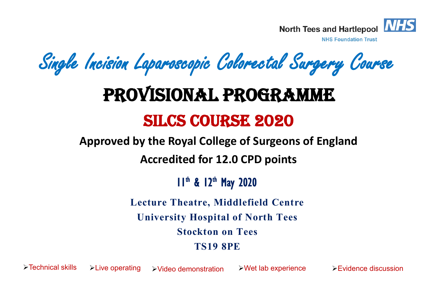

**NHS Foundation Trust** 

Single Incision Laparoscopic Colorectal Surgery Course

# Provisional Programme

## SILCS course 2020

**Approved by the Royal College of Surgeons of England** 

**Accredited for 12.0 CPD points** 

11<sup>th</sup> & 12<sup>th</sup> May 2020

**Lecture Theatre, Middlefield Centre University Hospital of North Tees Stockton on Tees TS19 8PE**

 $\triangleright$  Technical skills  $\triangleright$  Live operating  $\triangleright$  Video demonstration  $\triangleright$  Wet lab experience  $\triangleright$  Evidence discussion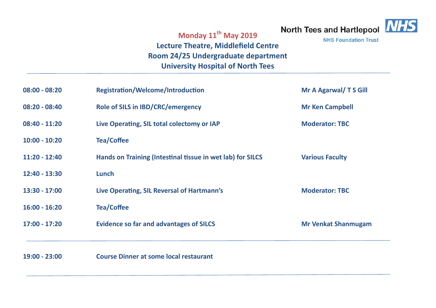# North Tees and Hartlepool NHS



**NHS Foundation Trust** 

## **Monday 11th May 2019 Lecture Theatre, Middlefield Centre Room 24/25 Undergraduate department University Hospital of North Tees**

| $08:00 - 08:20$ | <b>Registration/Welcome/Introduction</b>                   | Mr A Agarwal/ T S Gill     |
|-----------------|------------------------------------------------------------|----------------------------|
| $08:20 - 08:40$ | <b>Role of SILS in IBD/CRC/emergency</b>                   | <b>Mr Ken Campbell</b>     |
| $08:40 - 11:20$ | Live Operating, SIL total colectomy or IAP                 | <b>Moderator: TBC</b>      |
| $10:00 - 10:20$ | <b>Tea/Coffee</b>                                          |                            |
| $11:20 - 12:40$ | Hands on Training (Intestinal tissue in wet lab) for SILCS | <b>Various Faculty</b>     |
| 12:40 - 13:30   | Lunch                                                      |                            |
| 13:30 - 17:00   | Live Operating, SIL Reversal of Hartmann's                 | <b>Moderator: TBC</b>      |
| $16:00 - 16:20$ | <b>Tea/Coffee</b>                                          |                            |
| $17:00 - 17:20$ | <b>Evidence so far and advantages of SILCS</b>             | <b>Mr Venkat Shanmugam</b> |
|                 |                                                            |                            |
| 19:00 - 23:00   | <b>Course Dinner at some local restaurant</b>              |                            |